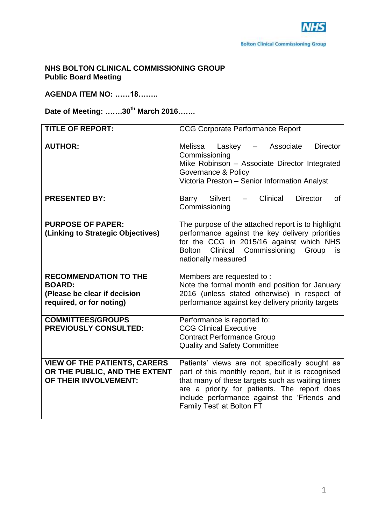# **NHS BOLTON CLINICAL COMMISSIONING GROUP Public Board Meeting**

# **AGENDA ITEM NO: ……18……..**

# **Date of Meeting: …….30th March 2016…….**

| <b>TITLE OF REPORT:</b>                                                                                   | <b>CCG Corporate Performance Report</b>                                                                                                                                                                                                                                              |
|-----------------------------------------------------------------------------------------------------------|--------------------------------------------------------------------------------------------------------------------------------------------------------------------------------------------------------------------------------------------------------------------------------------|
| <b>AUTHOR:</b>                                                                                            | - Associate<br><b>Director</b><br>Melissa<br>Laskey<br>Commissioning<br>Mike Robinson - Associate Director Integrated<br>Governance & Policy<br>Victoria Preston - Senior Information Analyst                                                                                        |
| <b>PRESENTED BY:</b>                                                                                      | Clinical<br>Silvert<br><b>Director</b><br>Barry<br>of<br>Commissioning                                                                                                                                                                                                               |
| <b>PURPOSE OF PAPER:</b><br>(Linking to Strategic Objectives)                                             | The purpose of the attached report is to highlight<br>performance against the key delivery priorities<br>for the CCG in 2015/16 against which NHS<br>Clinical Commissioning<br>Bolton<br>Group<br>is<br>nationally measured                                                          |
| <b>RECOMMENDATION TO THE</b><br><b>BOARD:</b><br>(Please be clear if decision<br>required, or for noting) | Members are requested to:<br>Note the formal month end position for January<br>2016 (unless stated otherwise) in respect of<br>performance against key delivery priority targets                                                                                                     |
| <b>COMMITTEES/GROUPS</b><br><b>PREVIOUSLY CONSULTED:</b>                                                  | Performance is reported to:<br><b>CCG Clinical Executive</b><br><b>Contract Performance Group</b><br><b>Quality and Safety Committee</b>                                                                                                                                             |
| <b>VIEW OF THE PATIENTS, CARERS</b><br>OR THE PUBLIC, AND THE EXTENT<br>OF THEIR INVOLVEMENT:             | Patients' views are not specifically sought as<br>part of this monthly report, but it is recognised<br>that many of these targets such as waiting times<br>are a priority for patients. The report does<br>include performance against the 'Friends and<br>Family Test' at Bolton FT |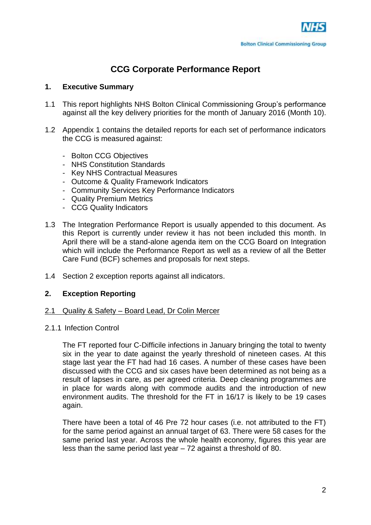# **CCG Corporate Performance Report**

# **1. Executive Summary**

- 1.1 This report highlights NHS Bolton Clinical Commissioning Group's performance against all the key delivery priorities for the month of January 2016 (Month 10).
- 1.2 Appendix 1 contains the detailed reports for each set of performance indicators the CCG is measured against:
	- Bolton CCG Objectives
	- NHS Constitution Standards
	- Key NHS Contractual Measures
	- Outcome & Quality Framework Indicators
	- Community Services Key Performance Indicators
	- Quality Premium Metrics
	- CCG Quality Indicators
- 1.3 The Integration Performance Report is usually appended to this document. As this Report is currently under review it has not been included this month. In April there will be a stand-alone agenda item on the CCG Board on Integration which will include the Performance Report as well as a review of all the Better Care Fund (BCF) schemes and proposals for next steps.
- 1.4 Section 2 exception reports against all indicators.

# **2. Exception Reporting**

# 2.1 Quality & Safety – Board Lead, Dr Colin Mercer

# 2.1.1 Infection Control

The FT reported four C-Difficile infections in January bringing the total to twenty six in the year to date against the yearly threshold of nineteen cases. At this stage last year the FT had had 16 cases. A number of these cases have been discussed with the CCG and six cases have been determined as not being as a result of lapses in care, as per agreed criteria. Deep cleaning programmes are in place for wards along with commode audits and the introduction of new environment audits. The threshold for the FT in 16/17 is likely to be 19 cases again.

There have been a total of 46 Pre 72 hour cases (i.e. not attributed to the FT) for the same period against an annual target of 63. There were 58 cases for the same period last year. Across the whole health economy, figures this year are less than the same period last year – 72 against a threshold of 80.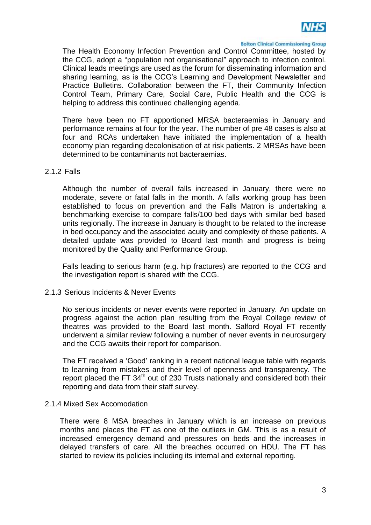

The Health Economy Infection Prevention and Control Committee, hosted by the CCG, adopt a "population not organisational" approach to infection control. Clinical leads meetings are used as the forum for disseminating information and sharing learning, as is the CCG's Learning and Development Newsletter and Practice Bulletins. Collaboration between the FT, their Community Infection Control Team, Primary Care, Social Care, Public Health and the CCG is helping to address this continued challenging agenda.

There have been no FT apportioned MRSA bacteraemias in January and performance remains at four for the year. The number of pre 48 cases is also at four and RCAs undertaken have initiated the implementation of a health economy plan regarding decolonisation of at risk patients. 2 MRSAs have been determined to be contaminants not bacteraemias.

#### 2.1.2 Falls

Although the number of overall falls increased in January, there were no moderate, severe or fatal falls in the month. A falls working group has been established to focus on prevention and the Falls Matron is undertaking a benchmarking exercise to compare falls/100 bed days with similar bed based units regionally. The increase in January is thought to be related to the increase in bed occupancy and the associated acuity and complexity of these patients. A detailed update was provided to Board last month and progress is being monitored by the Quality and Performance Group.

Falls leading to serious harm (e.g. hip fractures) are reported to the CCG and the investigation report is shared with the CCG.

# 2.1.3 Serious Incidents & Never Events

No serious incidents or never events were reported in January. An update on progress against the action plan resulting from the Royal College review of theatres was provided to the Board last month. Salford Royal FT recently underwent a similar review following a number of never events in neurosurgery and the CCG awaits their report for comparison.

The FT received a 'Good' ranking in a recent national league table with regards to learning from mistakes and their level of openness and transparency. The report placed the FT  $34<sup>th</sup>$  out of 230 Trusts nationally and considered both their reporting and data from their staff survey.

# 2.1.4 Mixed Sex Accomodation

There were 8 MSA breaches in January which is an increase on previous months and places the FT as one of the outliers in GM. This is as a result of increased emergency demand and pressures on beds and the increases in delayed transfers of care. All the breaches occurred on HDU. The FT has started to review its policies including its internal and external reporting.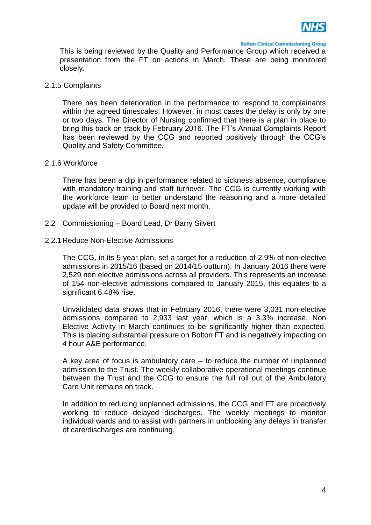

This is being reviewed by the Quality and Performance Group which received a presentation from the FT on actions in March. These are being monitored closely.

#### 2.1.5 Complaints

There has been deterioration in the performance to respond to complainants within the agreed timescales. However, in most cases the delay is only by one or two days. The Director of Nursing confirmed that there is a plan in place to bring this back on track by February 2016. The FT's Annual Complaints Report has been reviewed by the CCG and reported positively through the CCG's Quality and Safety Committee.

#### 2.1.6 Workforce

There has been a dip in performance related to sickness absence, compliance with mandatory training and staff turnover. The CCG is currently working with the workforce team to better understand the reasoning and a more detailed update will be provided to Board next month.

#### 2.2 Commissioning – Board Lead, Dr Barry Silvert

#### 2.2.1Reduce Non-Elective Admissions

The CCG, in its 5 year plan, set a target for a reduction of 2.9% of non-elective admissions in 2015/16 (based on 2014/15 outturn). In January 2016 there were 2,529 non elective admissions across all providers. This represents an increase of 154 non-elective admissions compared to January 2015, this equates to a significant 6.48% rise.

Unvalidated data shows that in February 2016, there were 3,031 non-elective admissions compared to 2,933 last year, which is a 3.3% increase. Non Elective Activity in March continues to be significantly higher than expected. This is placing substantial pressure on Bolton FT and is negatively impacting on 4 hour A&E performance.

A key area of focus is ambulatory care – to reduce the number of unplanned admission to the Trust. The weekly collaborative operational meetings continue between the Trust and the CCG to ensure the full roll out of the Ambulatory Care Unit remains on track.

In addition to reducing unplanned admissions, the CCG and FT are proactively working to reduce delayed discharges. The weekly meetings to monitor individual wards and to assist with partners in unblocking any delays in transfer of care/discharges are continuing.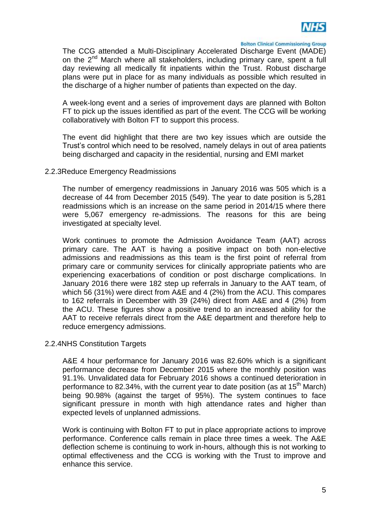

The CCG attended a Multi-Disciplinary Accelerated Discharge Event (MADE) on the 2<sup>nd</sup> March where all stakeholders, including primary care, spent a full day reviewing all medically fit inpatients within the Trust. Robust discharge plans were put in place for as many individuals as possible which resulted in the discharge of a higher number of patients than expected on the day.

A week-long event and a series of improvement days are planned with Bolton FT to pick up the issues identified as part of the event. The CCG will be working collaboratively with Bolton FT to support this process.

The event did highlight that there are two key issues which are outside the Trust's control which need to be resolved, namely delays in out of area patients being discharged and capacity in the residential, nursing and EMI market

# 2.2.3Reduce Emergency Readmissions

The number of emergency readmissions in January 2016 was 505 which is a decrease of 44 from December 2015 (549). The year to date position is 5,281 readmissions which is an increase on the same period in 2014/15 where there were 5,067 emergency re-admissions. The reasons for this are being investigated at specialty level.

Work continues to promote the Admission Avoidance Team (AAT) across primary care. The AAT is having a positive impact on both non-elective admissions and readmissions as this team is the first point of referral from primary care or community services for clinically appropriate patients who are experiencing exacerbations of condition or post discharge complications. In January 2016 there were 182 step up referrals in January to the AAT team, of which 56 (31%) were direct from A&E and 4 (2%) from the ACU. This compares to 162 referrals in December with 39 (24%) direct from A&E and 4 (2%) from the ACU. These figures show a positive trend to an increased ability for the AAT to receive referrals direct from the A&E department and therefore help to reduce emergency admissions.

# 2.2.4NHS Constitution Targets

A&E 4 hour performance for January 2016 was 82.60% which is a significant performance decrease from December 2015 where the monthly position was 91.1%. Unvalidated data for February 2016 shows a continued deterioration in performance to 82.34%, with the current year to date position (as at 15<sup>th</sup> March) being 90.98% (against the target of 95%). The system continues to face significant pressure in month with high attendance rates and higher than expected levels of unplanned admissions.

Work is continuing with Bolton FT to put in place appropriate actions to improve performance. Conference calls remain in place three times a week. The A&E deflection scheme is continuing to work in-hours, although this is not working to optimal effectiveness and the CCG is working with the Trust to improve and enhance this service.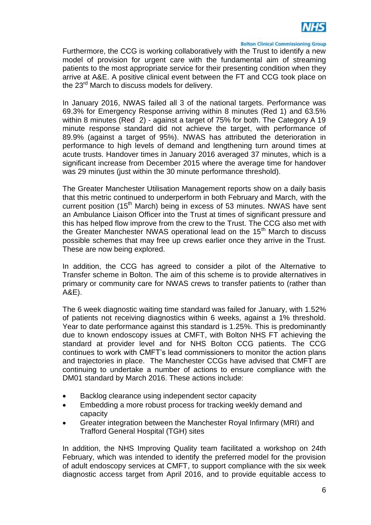

Furthermore, the CCG is working collaboratively with the Trust to identify a new model of provision for urgent care with the fundamental aim of streaming patients to the most appropriate service for their presenting condition when they arrive at A&E. A positive clinical event between the FT and CCG took place on the 23<sup>rd</sup> March to discuss models for delivery.

In January 2016, NWAS failed all 3 of the national targets. Performance was 69.3% for Emergency Response arriving within 8 minutes (Red 1) and 63.5% within 8 minutes (Red 2) - against a target of 75% for both. The Category A 19 minute response standard did not achieve the target, with performance of 89.9% (against a target of 95%). NWAS has attributed the deterioration in performance to high levels of demand and lengthening turn around times at acute trusts. Handover times in January 2016 averaged 37 minutes, which is a significant increase from December 2015 where the average time for handover was 29 minutes (just within the 30 minute performance threshold).

The Greater Manchester Utilisation Management reports show on a daily basis that this metric continued to underperform in both February and March, with the current position (15<sup>th</sup> March) being in excess of 53 minutes. NWAS have sent an Ambulance Liaison Officer into the Trust at times of significant pressure and this has helped flow improve from the crew to the Trust. The CCG also met with the Greater Manchester NWAS operational lead on the  $15<sup>th</sup>$  March to discuss possible schemes that may free up crews earlier once they arrive in the Trust. These are now being explored.

In addition, the CCG has agreed to consider a pilot of the Alternative to Transfer scheme in Bolton. The aim of this scheme is to provide alternatives in primary or community care for NWAS crews to transfer patients to (rather than A&E).

The 6 week diagnostic waiting time standard was failed for January, with 1.52% of patients not receiving diagnostics within 6 weeks, against a 1% threshold. Year to date performance against this standard is 1.25%. This is predominantly due to known endoscopy issues at CMFT, with Bolton NHS FT achieving the standard at provider level and for NHS Bolton CCG patients. The CCG continues to work with CMFT's lead commissioners to monitor the action plans and trajectories in place. The Manchester CCGs have advised that CMFT are continuing to undertake a number of actions to ensure compliance with the DM01 standard by March 2016. These actions include:

- Backlog clearance using independent sector capacity
- Embedding a more robust process for tracking weekly demand and capacity
- Greater integration between the Manchester Royal Infirmary (MRI) and Trafford General Hospital (TGH) sites

In addition, the NHS Improving Quality team facilitated a workshop on 24th February, which was intended to identify the preferred model for the provision of adult endoscopy services at CMFT, to support compliance with the six week diagnostic access target from April 2016, and to provide equitable access to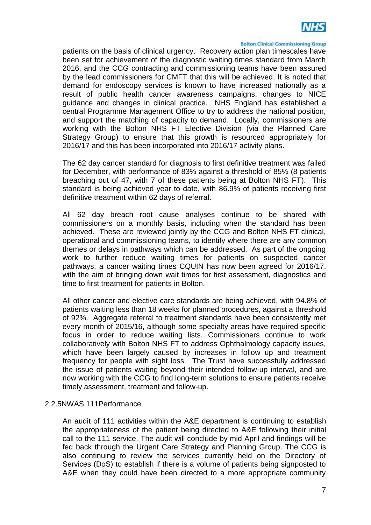

patients on the basis of clinical urgency. Recovery action plan timescales have been set for achievement of the diagnostic waiting times standard from March 2016, and the CCG contracting and commissioning teams have been assured by the lead commissioners for CMFT that this will be achieved. It is noted that demand for endoscopy services is known to have increased nationally as a result of public health cancer awareness campaigns, changes to NICE guidance and changes in clinical practice. NHS England has established a central Programme Management Office to try to address the national position, and support the matching of capacity to demand. Locally, commissioners are working with the Bolton NHS FT Elective Division (via the Planned Care Strategy Group) to ensure that this growth is resourced appropriately for 2016/17 and this has been incorporated into 2016/17 activity plans.

The 62 day cancer standard for diagnosis to first definitive treatment was failed for December, with performance of 83% against a threshold of 85% (8 patients breaching out of 47, with 7 of these patients being at Bolton NHS FT). This standard is being achieved year to date, with 86.9% of patients receiving first definitive treatment within 62 days of referral.

All 62 day breach root cause analyses continue to be shared with commissioners on a monthly basis, including when the standard has been achieved. These are reviewed jointly by the CCG and Bolton NHS FT clinical, operational and commissioning teams, to identify where there are any common themes or delays in pathways which can be addressed. As part of the ongoing work to further reduce waiting times for patients on suspected cancer pathways, a cancer waiting times CQUIN has now been agreed for 2016/17, with the aim of bringing down wait times for first assessment, diagnostics and time to first treatment for patients in Bolton.

All other cancer and elective care standards are being achieved, with 94.8% of patients waiting less than 18 weeks for planned procedures, against a threshold of 92%. Aggregate referral to treatment standards have been consistently met every month of 2015/16, although some specialty areas have required specific focus in order to reduce waiting lists. Commissioners continue to work collaboratively with Bolton NHS FT to address Ophthalmology capacity issues, which have been largely caused by increases in follow up and treatment frequency for people with sight loss. The Trust have successfully addressed the issue of patients waiting beyond their intended follow-up interval, and are now working with the CCG to find long-term solutions to ensure patients receive timely assessment, treatment and follow-up.

# 2.2.5NWAS 111Performance

An audit of 111 activities within the A&E department is continuing to establish the appropriateness of the patient being directed to A&E following their initial call to the 111 service. The audit will conclude by mid April and findings will be fed back through the Urgent Care Strategy and Planning Group. The CCG is also continuing to review the services currently held on the Directory of Services (DoS) to establish if there is a volume of patients being signposted to A&E when they could have been directed to a more appropriate community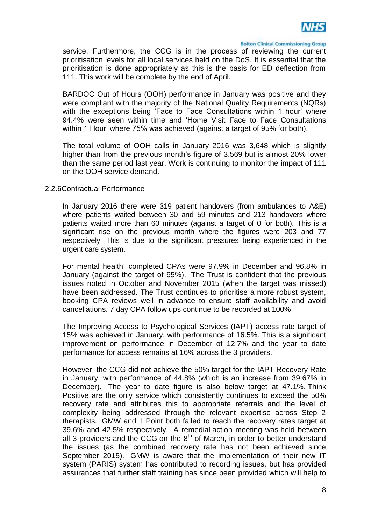

service. Furthermore, the CCG is in the process of reviewing the current prioritisation levels for all local services held on the DoS. It is essential that the prioritisation is done appropriately as this is the basis for ED deflection from 111. This work will be complete by the end of April.

BARDOC Out of Hours (OOH) performance in January was positive and they were compliant with the majority of the National Quality Requirements (NQRs) with the exceptions being 'Face to Face Consultations within 1 hour' where 94.4% were seen within time and 'Home Visit Face to Face Consultations within 1 Hour' where 75% was achieved (against a target of 95% for both).

The total volume of OOH calls in January 2016 was 3,648 which is slightly higher than from the previous month's figure of 3,569 but is almost 20% lower than the same period last year. Work is continuing to monitor the impact of 111 on the OOH service demand.

# 2.2.6Contractual Performance

In January 2016 there were 319 patient handovers (from ambulances to A&E) where patients waited between 30 and 59 minutes and 213 handovers where patients waited more than 60 minutes (against a target of 0 for both). This is a significant rise on the previous month where the figures were 203 and 77 respectively. This is due to the significant pressures being experienced in the urgent care system.

For mental health, completed CPAs were 97.9% in December and 96.8% in January (against the target of 95%). The Trust is confident that the previous issues noted in October and November 2015 (when the target was missed) have been addressed. The Trust continues to prioritise a more robust system, booking CPA reviews well in advance to ensure staff availability and avoid cancellations. 7 day CPA follow ups continue to be recorded at 100%.

The Improving Access to Psychological Services (IAPT) access rate target of 15% was achieved in January, with performance of 16.5%. This is a significant improvement on performance in December of 12.7% and the year to date performance for access remains at 16% across the 3 providers.

However, the CCG did not achieve the 50% target for the IAPT Recovery Rate in January, with performance of 44.8% (which is an increase from 39.67% in December). The year to date figure is also below target at 47.1%. Think Positive are the only service which consistently continues to exceed the 50% recovery rate and attributes this to appropriate referrals and the level of complexity being addressed through the relevant expertise across Step 2 therapists. GMW and 1 Point both failed to reach the recovery rates target at 39.6% and 42.5% respectively. A remedial action meeting was held between all 3 providers and the CCG on the  $8<sup>th</sup>$  of March, in order to better understand the issues (as the combined recovery rate has not been achieved since September 2015). GMW is aware that the implementation of their new IT system (PARIS) system has contributed to recording issues, but has provided assurances that further staff training has since been provided which will help to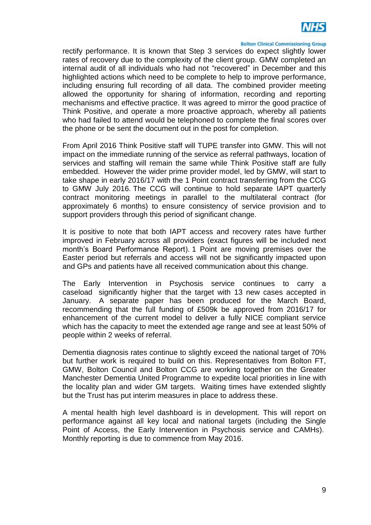

rectify performance. It is known that Step 3 services do expect slightly lower rates of recovery due to the complexity of the client group. GMW completed an internal audit of all individuals who had not "recovered" in December and this highlighted actions which need to be complete to help to improve performance, including ensuring full recording of all data. The combined provider meeting allowed the opportunity for sharing of information, recording and reporting mechanisms and effective practice. It was agreed to mirror the good practice of Think Positive, and operate a more proactive approach, whereby all patients who had failed to attend would be telephoned to complete the final scores over the phone or be sent the document out in the post for completion.

From April 2016 Think Positive staff will TUPE transfer into GMW. This will not impact on the immediate running of the service as referral pathways, location of services and staffing will remain the same while Think Positive staff are fully embedded. However the wider prime provider model, led by GMW, will start to take shape in early 2016/17 with the 1 Point contract transferring from the CCG to GMW July 2016. The CCG will continue to hold separate IAPT quarterly contract monitoring meetings in parallel to the multilateral contract (for approximately 6 months) to ensure consistency of service provision and to support providers through this period of significant change.

It is positive to note that both IAPT access and recovery rates have further improved in February across all providers (exact figures will be included next month's Board Performance Report). 1 Point are moving premises over the Easter period but referrals and access will not be significantly impacted upon and GPs and patients have all received communication about this change.

The Early Intervention in Psychosis service continues to carry a caseload significantly higher that the target with 13 new cases accepted in January. A separate paper has been produced for the March Board, recommending that the full funding of £509k be approved from 2016/17 for enhancement of the current model to deliver a fully NICE compliant service which has the capacity to meet the extended age range and see at least 50% of people within 2 weeks of referral.

Dementia diagnosis rates continue to slightly exceed the national target of 70% but further work is required to build on this. Representatives from Bolton FT, GMW, Bolton Council and Bolton CCG are working together on the Greater Manchester Dementia United Programme to expedite local priorities in line with the locality plan and wider GM targets. Waiting times have extended slightly but the Trust has put interim measures in place to address these.

A mental health high level dashboard is in development. This will report on performance against all key local and national targets (including the Single Point of Access, the Early Intervention in Psychosis service and CAMHs). Monthly reporting is due to commence from May 2016.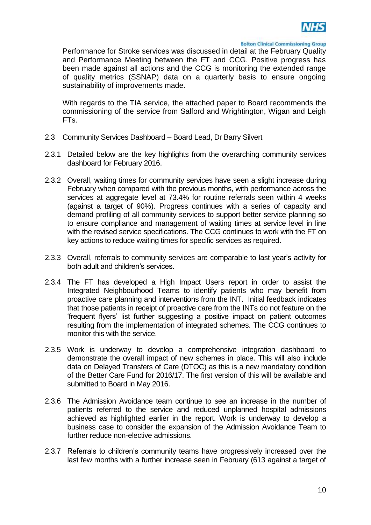

Performance for Stroke services was discussed in detail at the February Quality and Performance Meeting between the FT and CCG. Positive progress has been made against all actions and the CCG is monitoring the extended range of quality metrics (SSNAP) data on a quarterly basis to ensure ongoing sustainability of improvements made.

With regards to the TIA service, the attached paper to Board recommends the commissioning of the service from Salford and Wrightington, Wigan and Leigh FTs.

#### 2.3 Community Services Dashboard – Board Lead, Dr Barry Silvert

- 2.3.1 Detailed below are the key highlights from the overarching community services dashboard for February 2016.
- 2.3.2 Overall, waiting times for community services have seen a slight increase during February when compared with the previous months, with performance across the services at aggregate level at 73.4% for routine referrals seen within 4 weeks (against a target of 90%). Progress continues with a series of capacity and demand profiling of all community services to support better service planning so to ensure compliance and management of waiting times at service level in line with the revised service specifications. The CCG continues to work with the FT on key actions to reduce waiting times for specific services as required.
- 2.3.3 Overall, referrals to community services are comparable to last year's activity for both adult and children's services.
- 2.3.4 The FT has developed a High Impact Users report in order to assist the Integrated Neighbourhood Teams to identify patients who may benefit from proactive care planning and interventions from the INT. Initial feedback indicates that those patients in receipt of proactive care from the INTs do not feature on the 'frequent flyers' list further suggesting a positive impact on patient outcomes resulting from the implementation of integrated schemes. The CCG continues to monitor this with the service.
- 2.3.5 Work is underway to develop a comprehensive integration dashboard to demonstrate the overall impact of new schemes in place. This will also include data on Delayed Transfers of Care (DTOC) as this is a new mandatory condition of the Better Care Fund for 2016/17. The first version of this will be available and submitted to Board in May 2016.
- 2.3.6 The Admission Avoidance team continue to see an increase in the number of patients referred to the service and reduced unplanned hospital admissions achieved as highlighted earlier in the report. Work is underway to develop a business case to consider the expansion of the Admission Avoidance Team to further reduce non-elective admissions.
- 2.3.7 Referrals to children's community teams have progressively increased over the last few months with a further increase seen in February (613 against a target of